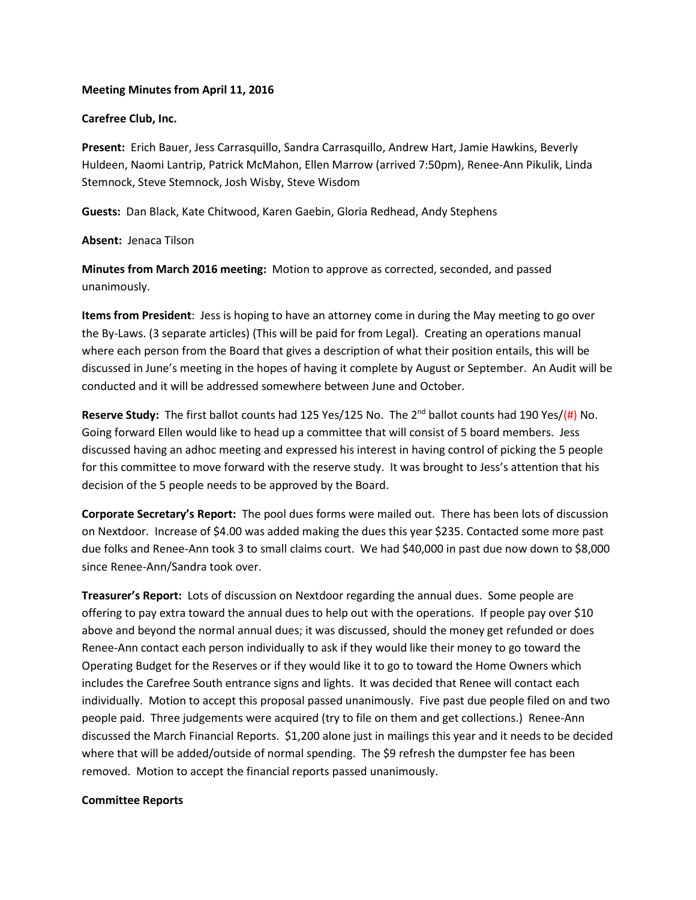### **Meeting Minutes from April 11, 2016**

### **Carefree Club, Inc.**

**Present:** Erich Bauer, Jess Carrasquillo, Sandra Carrasquillo, Andrew Hart, Jamie Hawkins, Beverly Huldeen, Naomi Lantrip, Patrick McMahon, Ellen Marrow (arrived 7:50pm), Renee-Ann Pikulik, Linda Stemnock, Steve Stemnock, Josh Wisby, Steve Wisdom

**Guests:** Dan Black, Kate Chitwood, Karen Gaebin, Gloria Redhead, Andy Stephens

**Absent:** Jenaca Tilson

**Minutes from March 2016 meeting:** Motion to approve as corrected, seconded, and passed unanimously.

**Items from President**: Jess is hoping to have an attorney come in during the May meeting to go over the By-Laws. (3 separate articles) (This will be paid for from Legal). Creating an operations manual where each person from the Board that gives a description of what their position entails, this will be discussed in June's meeting in the hopes of having it complete by August or September. An Audit will be conducted and it will be addressed somewhere between June and October.

**Reserve Study:** The first ballot counts had 125 Yes/125 No. The 2<sup>nd</sup> ballot counts had 190 Yes/(#) No. Going forward Ellen would like to head up a committee that will consist of 5 board members. Jess discussed having an adhoc meeting and expressed his interest in having control of picking the 5 people for this committee to move forward with the reserve study. It was brought to Jess's attention that his decision of the 5 people needs to be approved by the Board.

**Corporate Secretary's Report:** The pool dues forms were mailed out. There has been lots of discussion on Nextdoor. Increase of \$4.00 was added making the dues this year \$235. Contacted some more past due folks and Renee-Ann took 3 to small claims court. We had \$40,000 in past due now down to \$8,000 since Renee-Ann/Sandra took over.

**Treasurer's Report:** Lots of discussion on Nextdoor regarding the annual dues. Some people are offering to pay extra toward the annual dues to help out with the operations. If people pay over \$10 above and beyond the normal annual dues; it was discussed, should the money get refunded or does Renee-Ann contact each person individually to ask if they would like their money to go toward the Operating Budget for the Reserves or if they would like it to go to toward the Home Owners which includes the Carefree South entrance signs and lights. It was decided that Renee will contact each individually. Motion to accept this proposal passed unanimously. Five past due people filed on and two people paid. Three judgements were acquired (try to file on them and get collections.) Renee-Ann discussed the March Financial Reports. \$1,200 alone just in mailings this year and it needs to be decided where that will be added/outside of normal spending. The \$9 refresh the dumpster fee has been removed. Motion to accept the financial reports passed unanimously.

# **Committee Reports**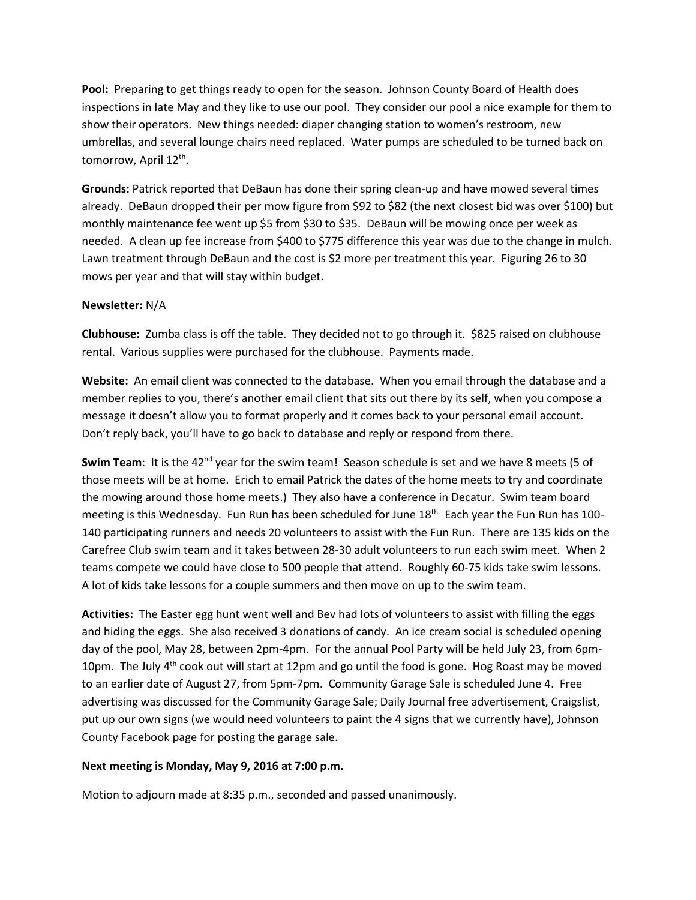**Pool:** Preparing to get things ready to open for the season. Johnson County Board of Health does inspections in late May and they like to use our pool. They consider our pool a nice example for them to show their operators. New things needed: diaper changing station to women's restroom, new umbrellas, and several lounge chairs need replaced. Water pumps are scheduled to be turned back on tomorrow, April 12<sup>th</sup>.

**Grounds:** Patrick reported that DeBaun has done their spring clean-up and have mowed several times already. DeBaun dropped their per mow figure from \$92 to \$82 (the next closest bid was over \$100) but monthly maintenance fee went up \$5 from \$30 to \$35. DeBaun will be mowing once per week as needed. A clean up fee increase from \$400 to \$775 difference this year was due to the change in mulch. Lawn treatment through DeBaun and the cost is \$2 more per treatment this year. Figuring 26 to 30 mows per year and that will stay within budget.

# **Newsletter:** N/A

**Clubhouse:** Zumba class is off the table. They decided not to go through it. \$825 raised on clubhouse rental. Various supplies were purchased for the clubhouse. Payments made.

**Website:** An email client was connected to the database. When you email through the database and a member replies to you, there's another email client that sits out there by its self, when you compose a message it doesn't allow you to format properly and it comes back to your personal email account. Don't reply back, you'll have to go back to database and reply or respond from there.

Swim Team: It is the 42<sup>nd</sup> year for the swim team! Season schedule is set and we have 8 meets (5 of those meets will be at home. Erich to email Patrick the dates of the home meets to try and coordinate the mowing around those home meets.) They also have a conference in Decatur. Swim team board meeting is this Wednesday. Fun Run has been scheduled for June 18th. Each year the Fun Run has 100- 140 participating runners and needs 20 volunteers to assist with the Fun Run. There are 135 kids on the Carefree Club swim team and it takes between 28-30 adult volunteers to run each swim meet. When 2 teams compete we could have close to 500 people that attend. Roughly 60-75 kids take swim lessons. A lot of kids take lessons for a couple summers and then move on up to the swim team.

**Activities:** The Easter egg hunt went well and Bev had lots of volunteers to assist with filling the eggs and hiding the eggs. She also received 3 donations of candy. An ice cream social is scheduled opening day of the pool, May 28, between 2pm-4pm. For the annual Pool Party will be held July 23, from 6pm-10pm. The July  $4<sup>th</sup>$  cook out will start at 12pm and go until the food is gone. Hog Roast may be moved to an earlier date of August 27, from 5pm-7pm. Community Garage Sale is scheduled June 4. Free advertising was discussed for the Community Garage Sale; Daily Journal free advertisement, Craigslist, put up our own signs (we would need volunteers to paint the 4 signs that we currently have), Johnson County Facebook page for posting the garage sale.

# **Next meeting is Monday, May 9, 2016 at 7:00 p.m.**

Motion to adjourn made at 8:35 p.m., seconded and passed unanimously.